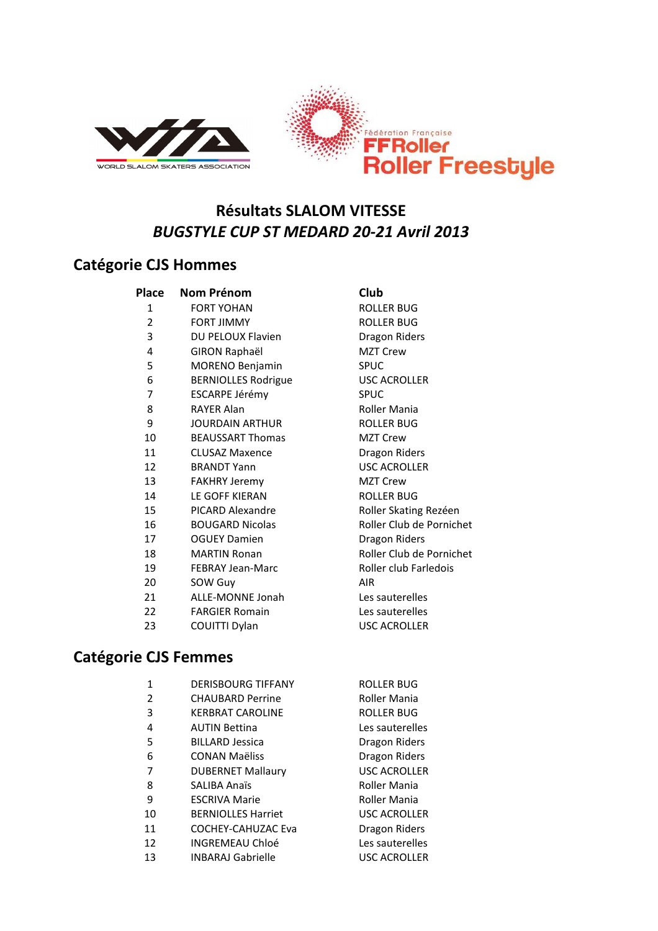



# **Résultats SLALOM VITESSE** *BUGSTYLE CUP ST MEDARD 20-21 Avril 2013*

#### **Catégorie CJS Hommes**

| Place | Nom Prénom                 | Club             |
|-------|----------------------------|------------------|
| 1     | <b>FORT YOHAN</b>          | <b>ROLL</b>      |
| 2     | <b>FORT JIMMY</b>          | <b>ROLL</b>      |
| 3     | DU PELOUX Flavien          | Drago            |
| 4     | <b>GIRON Raphaël</b>       | <b>MZT</b>       |
| 5     | MORENO Benjamin            | SPUC             |
| 6     | <b>BERNIOLLES Rodrigue</b> | USC <sub>A</sub> |
| 7     | ESCARPE Jérémy             | SPUC             |
| 8     | <b>RAYER Alan</b>          | Rolle            |
| 9     | <b>JOURDAIN ARTHUR</b>     | <b>ROLL</b>      |
| 10    | <b>BEAUSSART Thomas</b>    | MZT              |
| 11    | <b>CLUSAZ Maxence</b>      | Drago            |
| 12    | <b>BRANDT Yann</b>         | USC <sub>A</sub> |
| 13    | <b>FAKHRY Jeremy</b>       | MZT              |
| 14    | LE GOFF KIERAN             | ROLL             |
| 15    | PICARD Alexandre           | Rolle            |
| 16    | <b>BOUGARD Nicolas</b>     | Rolle            |
| 17    | <b>OGUEY Damien</b>        | Drago            |
| 18    | <b>MARTIN Ronan</b>        | Rolle            |
| 19    | <b>FEBRAY Jean-Marc</b>    | Rolle            |
| 20    | SOW Guy                    | AIR              |
| 21    | <b>ALLE-MONNE Jonah</b>    | Les sa           |
| 22    | <b>FARGIER Romain</b>      | Les sa           |
| 23    | COUITTI Dylan              | USC <sub>A</sub> |
|       |                            |                  |

ROLLER BUG ROLLER BUG Dragon Riders **MZT Crew** SPUC e USC ACROLLER Roller Mania ROLLER BUG MZT Crew Dragon Riders USC ACROLLER MZT Crew ROLLER BUG Roller Skating Rezéen Roller Club de Pornichet Dragon Riders Roller Club de Pornichet Roller club Farledois Les sauterelles Les sauterelles USC ACROLLER

## **Catégorie CJS Femmes**

| 1  | <b>DERISBOURG TIFFANY</b> | ROLLER BUG          |
|----|---------------------------|---------------------|
| 2  | <b>CHAUBARD Perrine</b>   | Roller Mania        |
| 3  | <b>KERBRAT CAROLINE</b>   | ROLLER BUG          |
| 4  | <b>AUTIN Bettina</b>      | Les sauterelles     |
| 5  | <b>BILLARD Jessica</b>    | Dragon Riders       |
| 6  | CONAN Maëliss             | Dragon Riders       |
| 7  | <b>DUBERNET Mallaury</b>  | USC ACROLLER        |
| 8  | <b>SALIBA Anaïs</b>       | Roller Mania        |
| 9  | <b>ESCRIVA Marie</b>      | Roller Mania        |
| 10 | <b>BERNIOLLES Harriet</b> | USC ACROLLER        |
| 11 | <b>COCHEY-CAHUZAC Eva</b> | Dragon Riders       |
| 12 | INGREMEAU Chloé           | Les sauterelles     |
| 13 | <b>INBARAJ Gabrielle</b>  | <b>USC ACROLLER</b> |
|    |                           |                     |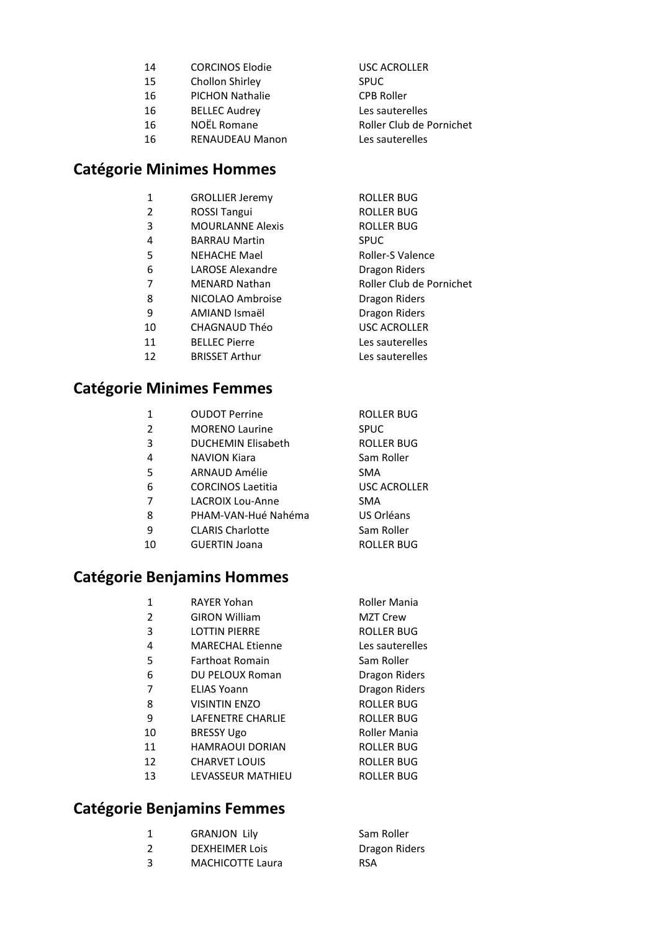| 14 | <b>CORCINOS Elodie</b> | <b>USC ACROLLER</b>      |
|----|------------------------|--------------------------|
| 15 | Chollon Shirley        | <b>SPUC</b>              |
| 16 | <b>PICHON Nathalie</b> | <b>CPB Roller</b>        |
| 16 | <b>BELLEC Audrey</b>   | Les sauterelles          |
| 16 | NOËL Romane            | Roller Club de Pornichet |
| 16 | <b>RENAUDEAU Manon</b> | Les sauterelles          |
|    |                        |                          |

ROLLER BUG

#### **Catégorie Minimes Hommes**

| <b>GROLLIER Jeremy</b> |
|------------------------|
|                        |

- 2 ROSSI Tangui ROLLER BUG
- 3 MOURLANNE Alexis ROLLER BUG
- 4 BARRAU Martin SPUC 5 NEHACHE Mael Roller-S Valence
- LAROSE Alexandre Dragon Riders
- 7 MENARD Nathan Roller Club de Pornichet
- 8 NICOLAO Ambroise **Dragon Riders**
- 9 AMIAND Ismaël Dragon Riders
- CHAGNAUD Théo USC ACROLLER
- 11 BELLEC Pierre Les sauterelles
- 12 BRISSET Arthur Les sauterelles

## **Catégorie Minimes Femmes**

- OUDOT Perrine ROLLER BUG
- 2 MORENO Laurine SPUC
- DUCHEMIN Elisabeth ROLLER BUG
- 4 NAVION Kiara **Sam Roller**
- ARNAUD Amélie SMA
- CORCINOS Laetitia USC ACROLLER
- LACROIX Lou-Anne SMA
- PHAM-VAN-Hué Nahéma US Orléans
- CLARIS Charlotte Sam Roller
- GUERTIN Joana ROLLER BUG

## **Catégorie Benjamins Hommes**

| 1  | <b>RAYER Yohan</b>       | Roller Mania      |
|----|--------------------------|-------------------|
| 2  | <b>GIRON William</b>     | <b>MZT Crew</b>   |
| 3  | <b>LOTTIN PIERRE</b>     | ROLLER BUG        |
| 4  | <b>MARECHAL Etienne</b>  | Les sauterelles   |
| 5  | <b>Farthoat Romain</b>   | Sam Roller        |
| 6  | <b>DU PELOUX Roman</b>   | Dragon Riders     |
| 7  | <b>ELIAS Yoann</b>       | Dragon Riders     |
| 8  | <b>VISINTIN ENZO</b>     | ROLLER BUG        |
| 9  | <b>LAFFNFTRF CHARLIF</b> | <b>ROLLER BUG</b> |
| 10 | <b>BRESSY Ugo</b>        | Roller Mania      |
| 11 | <b>HAMRAOUI DORIAN</b>   | ROLLER BUG        |
| 12 | <b>CHARVET LOUIS</b>     | ROLLER BUG        |
| 13 | <b>LEVASSEUR MATHIEU</b> | ROLLER BUG        |
|    |                          |                   |

## **Catégorie Benjamins Femmes**

|   | <b>GRANJON Lily</b>     | Sam Roller    |
|---|-------------------------|---------------|
|   | <b>DEXHEIMER LOIS</b>   | Dragon Riders |
| ર | <b>MACHICOTTE Laura</b> | <b>RSA</b>    |